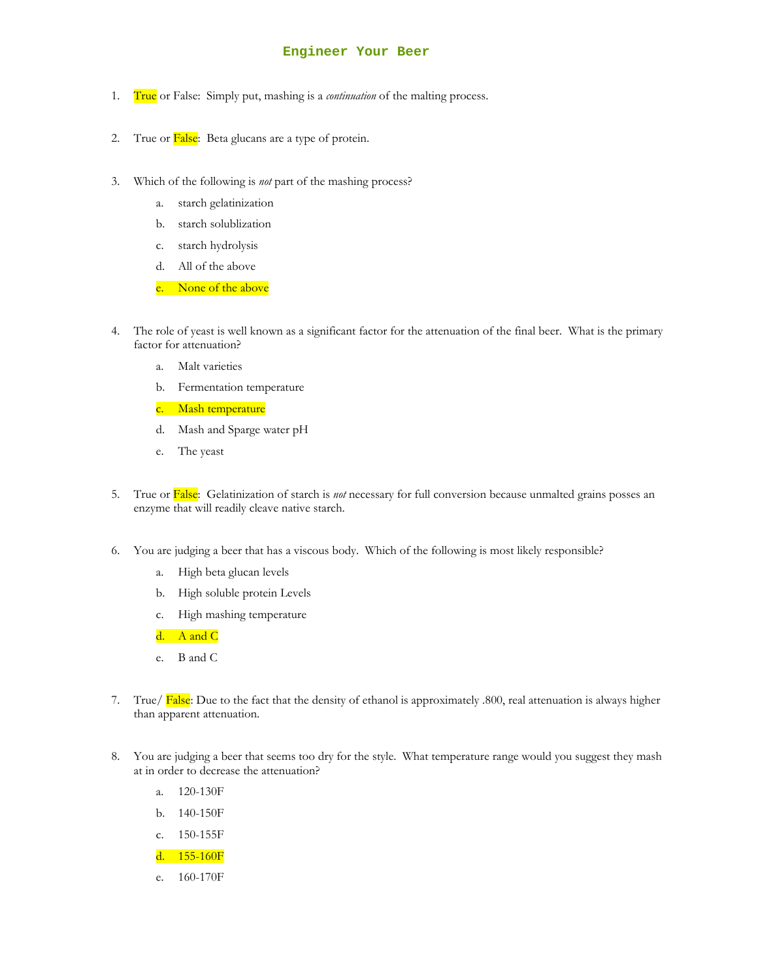## **Engineer Your Beer**

- 1. True or False: Simply put, mashing is a *continuation* of the malting process.
- 2. True or False: Beta glucans are a type of protein.
- 3. Which of the following is *not* part of the mashing process?
	- a. starch gelatinization
	- b. starch solublization
	- c. starch hydrolysis
	- d. All of the above
	- e. None of the above
- 4. The role of yeast is well known as a significant factor for the attenuation of the final beer. What is the primary factor for attenuation?
	- a. Malt varieties
	- b. Fermentation temperature
	- c. Mash temperature
	- d. Mash and Sparge water pH
	- e. The yeast
- 5. True or False: Gelatinization of starch is *not* necessary for full conversion because unmalted grains posses an enzyme that will readily cleave native starch.
- 6. You are judging a beer that has a viscous body. Which of the following is most likely responsible?
	- a. High beta glucan levels
	- b. High soluble protein Levels
	- c. High mashing temperature
	- d. A and  $C$
	- e. B and C
- 7. True/ False: Due to the fact that the density of ethanol is approximately .800, real attenuation is always higher than apparent attenuation.
- 8. You are judging a beer that seems too dry for the style. What temperature range would you suggest they mash at in order to decrease the attenuation?
	- a. 120-130F
	- b. 140-150F
	- c. 150-155F
	- d. 155-160F
	- e. 160-170F